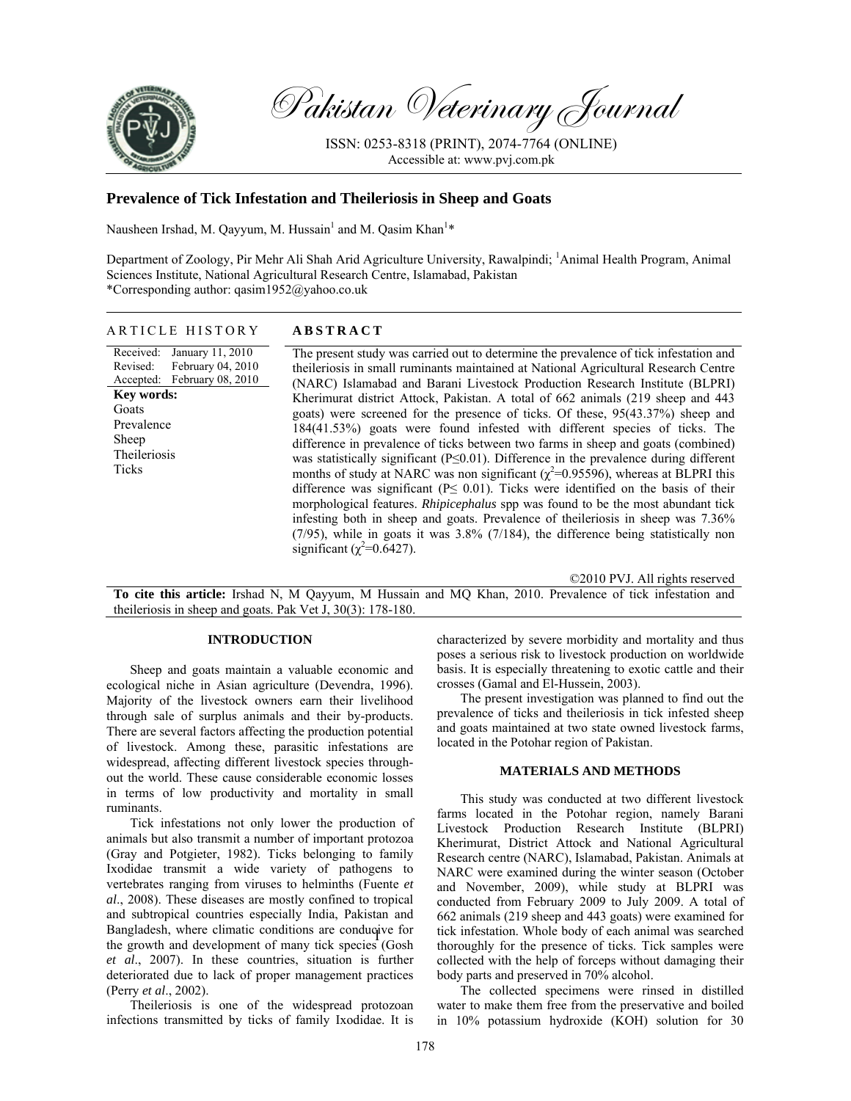

Pakistan Veterinary Journal

ISSN: 0253-8318 (PRINT), 2074-7764 (ONLINE) Accessible at: www.pvj.com.pk

# **Prevalence of Tick Infestation and Theileriosis in Sheep and Goats**

Nausheen Irshad, M. Qayyum, M. Hussain<sup>1</sup> and M. Qasim Khan<sup>1\*</sup>

Department of Zoology, Pir Mehr Ali Shah Arid Agriculture University, Rawalpindi; <sup>1</sup>Animal Health Program, Animal Sciences Institute, National Agricultural Research Centre, Islamabad, Pakistan \*Corresponding author: qasim1952@yahoo.co.uk

## ARTICLE HISTORY **ABSTRACT**

Received: Revised: Accepted: January 11, 2010 February 04, 2010 February 08, 2010 **Key words:**  Goats Prevalence Sheep Theileriosis Ticks

The present study was carried out to determine the prevalence of tick infestation and theileriosis in small ruminants maintained at National Agricultural Research Centre (NARC) Islamabad and Barani Livestock Production Research Institute (BLPRI) Kherimurat district Attock, Pakistan. A total of 662 animals (219 sheep and 443 goats) were screened for the presence of ticks. Of these, 95(43.37%) sheep and 184(41.53%) goats were found infested with different species of ticks. The difference in prevalence of ticks between two farms in sheep and goats (combined) was statistically significant (P≤0.01). Difference in the prevalence during different months of study at NARC was non significant ( $\chi^2$ =0.95596), whereas at BLPRI this difference was significant ( $P \leq 0.01$ ). Ticks were identified on the basis of their morphological features. *Rhipicephalus* spp was found to be the most abundant tick infesting both in sheep and goats. Prevalence of theileriosis in sheep was 7.36% (7/95), while in goats it was 3.8% (7/184), the difference being statistically non significant ( $\chi^2$ =0.6427).

©2010 PVJ. All rights reserved

**To cite this article:** Irshad N, M Qayyum, M Hussain and MQ Khan, 2010. Prevalence of tick infestation and theileriosis in sheep and goats. Pak Vet J, 30(3): 178-180.

### **INTRODUCTION**

Sheep and goats maintain a valuable economic and ecological niche in Asian agriculture (Devendra, 1996). Majority of the livestock owners earn their livelihood through sale of surplus animals and their by-products. There are several factors affecting the production potential of livestock. Among these, parasitic infestations are widespread, affecting different livestock species throughout the world. These cause considerable economic losses in terms of low productivity and mortality in small ruminants.

Tick infestations not only lower the production of animals but also transmit a number of important protozoa (Gray and Potgieter, 1982). Ticks belonging to family Ixodidae transmit a wide variety of pathogens to vertebrates ranging from viruses to helminths (Fuente *et al*., 2008). These diseases are mostly confined to tropical and subtropical countries especially India, Pakistan and Bangladesh, where climatic conditions are conducive for  $t_{\text{th}}$ ,  $t_{\text{c}}$  and  $t_{\text{t}}$  development of means the except  $C_{\text{c}}$  of the growth and development of many tick species (Gosh *et al*., 2007). In these countries, situation is further deteriorated due to lack of proper management practices (Perry *et al*., 2002).

Theileriosis is one of the widespread protozoan infections transmitted by ticks of family Ixodidae. It is characterized by severe morbidity and mortality and thus poses a serious risk to livestock production on worldwide basis. It is especially threatening to exotic cattle and their crosses (Gamal and El-Hussein, 2003).

The present investigation was planned to find out the prevalence of ticks and theileriosis in tick infested sheep and goats maintained at two state owned livestock farms, located in the Potohar region of Pakistan.

#### **MATERIALS AND METHODS**

This study was conducted at two different livestock farms located in the Potohar region, namely Barani Livestock Production Research Institute (BLPRI) Kherimurat, District Attock and National Agricultural Research centre (NARC), Islamabad, Pakistan. Animals at NARC were examined during the winter season (October and November, 2009), while study at BLPRI was conducted from February 2009 to July 2009. A total of 662 animals (219 sheep and 443 goats) were examined for tick infestation. Whole body of each animal was searched thoroughly for the presence of ticks. Tick samples were collected with the help of forceps without damaging their body parts and preserved in 70% alcohol.

The collected specimens were rinsed in distilled water to make them free from the preservative and boiled in 10% potassium hydroxide (KOH) solution for 30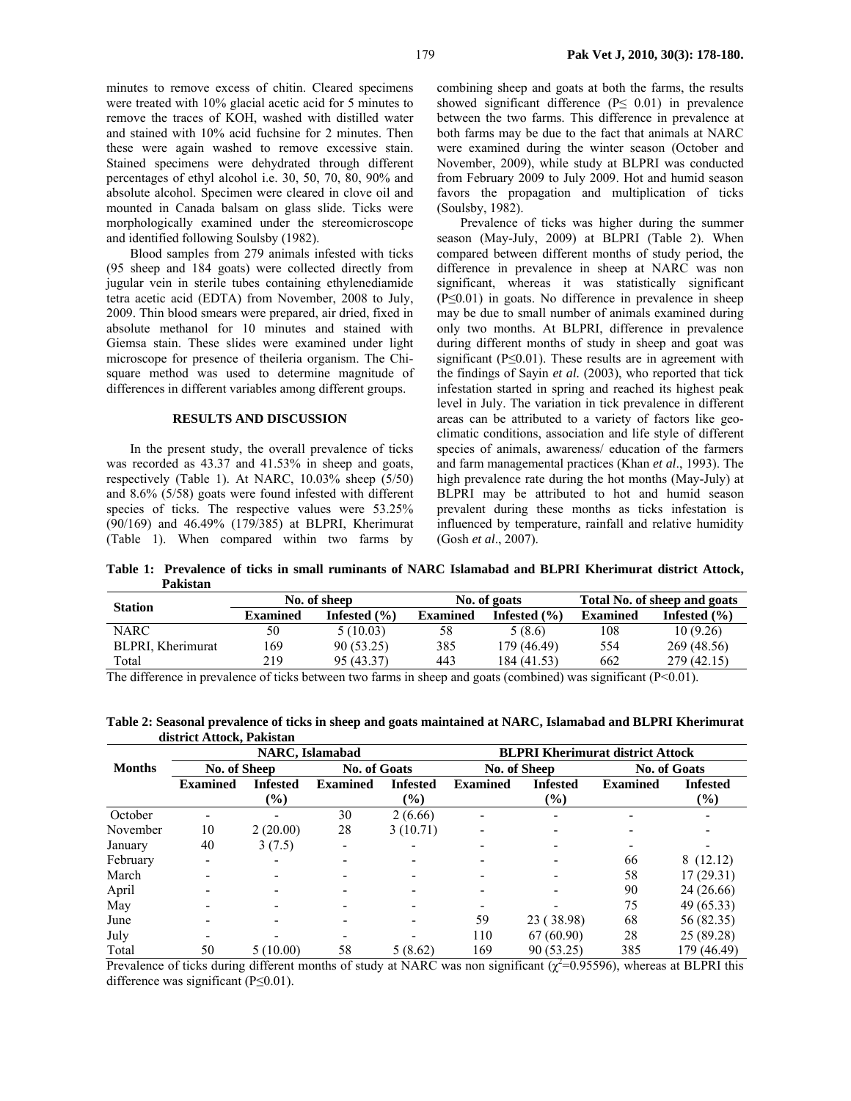minutes to remove excess of chitin. Cleared specimens were treated with 10% glacial acetic acid for 5 minutes to remove the traces of KOH, washed with distilled water and stained with 10% acid fuchsine for 2 minutes. Then these were again washed to remove excessive stain. Stained specimens were dehydrated through different percentages of ethyl alcohol i.e. 30, 50, 70, 80, 90% and absolute alcohol. Specimen were cleared in clove oil and mounted in Canada balsam on glass slide. Ticks were morphologically examined under the stereomicroscope and identified following Soulsby (1982).

Blood samples from 279 animals infested with ticks (95 sheep and 184 goats) were collected directly from jugular vein in sterile tubes containing ethylenediamide tetra acetic acid (EDTA) from November, 2008 to July, 2009. Thin blood smears were prepared, air dried, fixed in absolute methanol for 10 minutes and stained with Giemsa stain. These slides were examined under light microscope for presence of theileria organism. The Chisquare method was used to determine magnitude of differences in different variables among different groups.

#### **RESULTS AND DISCUSSION**

In the present study, the overall prevalence of ticks was recorded as 43.37 and 41.53% in sheep and goats, respectively (Table 1). At NARC, 10.03% sheep (5/50) and 8.6% (5/58) goats were found infested with different species of ticks. The respective values were 53.25% (90/169) and 46.49% (179/385) at BLPRI, Kherimurat (Table 1). When compared within two farms by

combining sheep and goats at both the farms, the results showed significant difference (P≤ 0.01) in prevalence between the two farms. This difference in prevalence at both farms may be due to the fact that animals at NARC were examined during the winter season (October and November, 2009), while study at BLPRI was conducted from February 2009 to July 2009. Hot and humid season favors the propagation and multiplication of ticks (Soulsby, 1982).

Prevalence of ticks was higher during the summer season (May-July, 2009) at BLPRI (Table 2). When compared between different months of study period, the difference in prevalence in sheep at NARC was non significant, whereas it was statistically significant (P≤0.01) in goats. No difference in prevalence in sheep may be due to small number of animals examined during only two months. At BLPRI, difference in prevalence during different months of study in sheep and goat was significant (P≤0.01). These results are in agreement with the findings of Sayin *et al.* (2003), who reported that tick infestation started in spring and reached its highest peak level in July. The variation in tick prevalence in different areas can be attributed to a variety of factors like geoclimatic conditions, association and life style of different species of animals, awareness/ education of the farmers and farm managemental practices (Khan *et al*., 1993). The high prevalence rate during the hot months (May-July) at BLPRI may be attributed to hot and humid season prevalent during these months as ticks infestation is influenced by temperature, rainfall and relative humidity (Gosh *et al*., 2007).

**Table 1: Prevalence of ticks in small ruminants of NARC Islamabad and BLPRI Kherimurat district Attock, Pakistan** 

| <b>Station</b>    | No. of sheep    |                  |                 | No. of goats     | Total No. of sheep and goats |                  |  |
|-------------------|-----------------|------------------|-----------------|------------------|------------------------------|------------------|--|
|                   | <b>Examined</b> | Infested $(\% )$ | <b>Examined</b> | Infested $(\% )$ | <b>Examined</b>              | Infested $(\% )$ |  |
| <b>NARC</b>       | 50              | 5(10.03)         | 58              | 5(8.6)           | 108                          | 10(9.26)         |  |
| BLPRI. Kherimurat | 169             | 90 (53.25)       | 385             | 179 (46.49)      | 554                          | 269 (48.56)      |  |
| Total             | 219             | 95 (43.37)       | 443             | 184 (41.53)      | 662                          | 279 (42.15)      |  |

The difference in prevalence of ticks between two farms in sheep and goats (combined) was significant ( $P<0.01$ ).

| <u> anon ice i recocin, i aninomin</u> |                         |                 |                     |                 |                 |                                         |                     |                 |  |  |
|----------------------------------------|-------------------------|-----------------|---------------------|-----------------|-----------------|-----------------------------------------|---------------------|-----------------|--|--|
|                                        | <b>NARC</b> , Islamabad |                 |                     |                 |                 | <b>BLPRI Kherimurat district Attock</b> |                     |                 |  |  |
| <b>Months</b>                          | No. of Sheep            |                 | <b>No. of Goats</b> |                 |                 | No. of Sheep                            | <b>No. of Goats</b> |                 |  |  |
|                                        | <b>Examined</b>         | <b>Infested</b> | <b>Examined</b>     | <b>Infested</b> | <b>Examined</b> | <b>Infested</b>                         | <b>Examined</b>     | <b>Infested</b> |  |  |
|                                        |                         | (%)             |                     | $\frac{6}{2}$   |                 | $(\%)$                                  |                     | $(\%)$          |  |  |
| October                                |                         |                 | 30                  | 2(6.66)         |                 |                                         |                     |                 |  |  |
| November                               | 10                      | 2(20.00)        | 28                  | 3(10.71)        |                 |                                         |                     |                 |  |  |
| January                                | 40                      | 3(7.5)          |                     |                 |                 |                                         |                     |                 |  |  |
| February                               |                         |                 |                     |                 |                 |                                         | 66                  | 8(12.12)        |  |  |
| March                                  |                         |                 |                     |                 |                 |                                         | 58                  | 17(29.31)       |  |  |
| April                                  |                         |                 |                     |                 |                 |                                         | 90                  | 24 (26.66)      |  |  |
| May                                    |                         |                 |                     |                 |                 |                                         | 75                  | 49 (65.33)      |  |  |
| June                                   |                         |                 |                     |                 | 59              | 23 (38.98)                              | 68                  | 56 (82.35)      |  |  |
| July                                   |                         |                 |                     |                 | 110             | 67(60.90)                               | 28                  | 25 (89.28)      |  |  |
| Total                                  | 50                      | 5(10.00)        | 58                  | 5(8.62)         | 169             | 90 (53.25)                              | 385                 | 179 (46.49)     |  |  |

**Table 2: Seasonal prevalence of ticks in sheep and goats maintained at NARC, Islamabad and BLPRI Kherimurat district Attock, Pakistan** 

Prevalence of ticks during different months of study at NARC was non significant  $(\chi^2=0.95596)$ , whereas at BLPRI this difference was significant (P≤0.01).